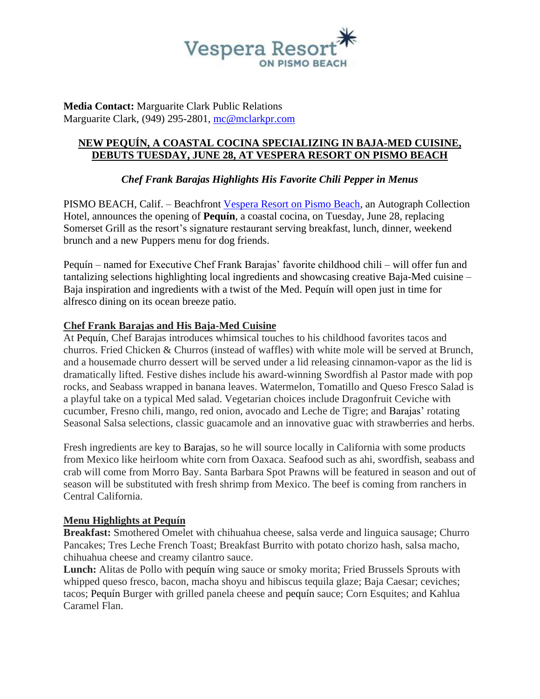

**Media Contact:** Marguarite Clark Public Relations Marguarite Clark, (949) 295-2801, [mc@mclarkpr.com](mailto:mc@mclarkpr.com)

## **NEW PEQUÍN, A COASTAL COCINA SPECIALIZING IN BAJA-MED CUISINE, DEBUTS TUESDAY, JUNE 28, AT VESPERA RESORT ON PISMO BEACH**

# *Chef Frank Barajas Highlights His Favorite Chili Pepper in Menus*

PISMO BEACH, Calif. – Beachfront [Vespera Resort on Pismo Beach,](https://vesperapismobeach.com/) an Autograph Collection Hotel, announces the opening of **Pequín**, a coastal cocina, on Tuesday, June 28, replacing Somerset Grill as the resort's signature restaurant serving breakfast, lunch, dinner, weekend brunch and a new Puppers menu for dog friends.

Pequín – named for Executive Chef Frank Barajas' favorite childhood chili – will offer fun and tantalizing selections highlighting local ingredients and showcasing creative Baja-Med cuisine – Baja inspiration and ingredients with a twist of the Med. Pequín will open just in time for alfresco dining on its ocean breeze patio.

### **Chef Frank Barajas and His Baja-Med Cuisine**

At Pequín, Chef Barajas introduces whimsical touches to his childhood favorites tacos and churros. Fried Chicken & Churros (instead of waffles) with white mole will be served at Brunch, and a housemade churro dessert will be served under a lid releasing cinnamon-vapor as the lid is dramatically lifted. Festive dishes include his award-winning Swordfish al Pastor made with pop rocks, and Seabass wrapped in banana leaves. Watermelon, Tomatillo and Queso Fresco Salad is a playful take on a typical Med salad. Vegetarian choices include Dragonfruit Ceviche with cucumber, Fresno chili, mango, red onion, avocado and Leche de Tigre; and Barajas' rotating Seasonal Salsa selections, classic guacamole and an innovative guac with strawberries and herbs.

Fresh ingredients are key to Barajas, so he will source locally in California with some products from Mexico like heirloom white corn from Oaxaca. Seafood such as ahi, swordfish, seabass and crab will come from Morro Bay. Santa Barbara Spot Prawns will be featured in season and out of season will be substituted with fresh shrimp from Mexico. The beef is coming from ranchers in Central California.

#### **Menu Highlights at Pequín**

**Breakfast:** Smothered Omelet with chihuahua cheese, salsa verde and linguica sausage; Churro Pancakes; Tres Leche French Toast; Breakfast Burrito with potato chorizo hash, salsa macho, chihuahua cheese and creamy cilantro sauce.

**Lunch:** Alitas de Pollo with pequín wing sauce or smoky morita; Fried Brussels Sprouts with whipped queso fresco, bacon, macha shoyu and hibiscus tequila glaze; Baja Caesar; ceviches; tacos; Pequín Burger with grilled panela cheese and pequín sauce; Corn Esquites; and Kahlua Caramel Flan.